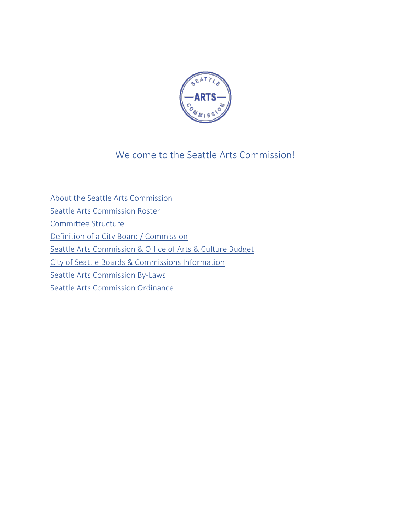

# Welcome to the Seattle Arts Commission!

About the Seattle Arts Commission Seattle Arts [Commission Roster](#page-2-0) Committee Structure Definition of a City Board / Commission Seattle Arts Commission & Office of Arts & Culture Budget City of Seattle Boards & Commissions Information Seattle Arts Commission By-Laws Seattle Arts Commission Ordinance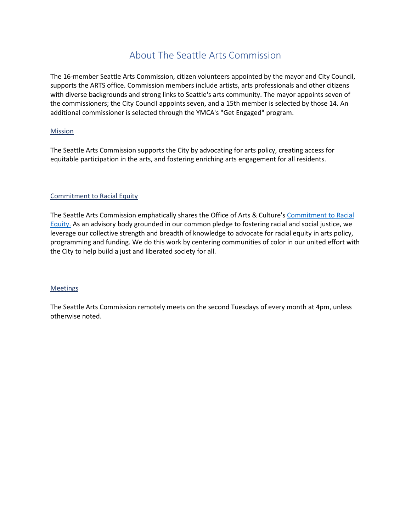# About The Seattle Arts Commission

The 16-member Seattle Arts Commission, citizen volunteers appointed by the mayor and City Council, supports the ARTS office. Commission members include artists, arts professionals and other citizens with diverse backgrounds and strong links to Seattle's arts community. The mayor appoints seven of the commissioners; the City Council appoints seven, and a 15th member is selected by those 14. An additional commissioner is selected through the YMCA's "Get Engaged" program.

## Mission

The Seattle Arts Commission supports the City by advocating for arts policy, creating access for equitable participation in the arts, and fostering enriching arts engagement for all residents.

## Commitment to Racial Equity

The Seattle Arts Commission emphatically shares the Office of Arts & Culture'[s Commitment to Racial](https://www.seattle.gov/arts/about-us)  [Equity.](https://www.seattle.gov/arts/about-us) As an advisory body grounded in our common pledge to fostering racial and social justice, we leverage our collective strength and breadth of knowledge to advocate for racial equity in arts policy, programming and funding. We do this work by centering communities of color in our united effort with the City to help build a just and liberated society for all.

## **Meetings**

The Seattle Arts Commission remotely meets on the second Tuesdays of every month at 4pm, unless otherwise noted.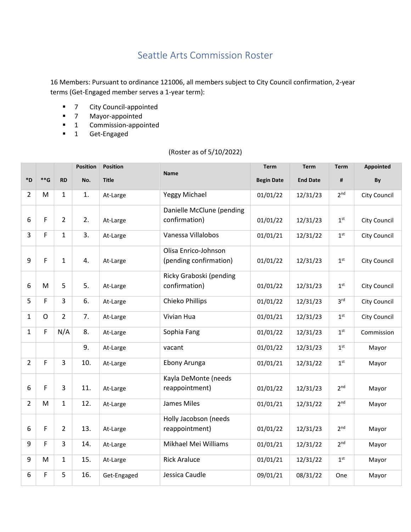# Seattle Arts Commission Roster

<span id="page-2-0"></span>16 Members: Pursuant to ordinance 121006, all members subject to City Council confirmation, 2-year terms (Get-Engaged member serves a 1-year term):

- 7 City Council-appointed
- **7** Mayor-appointed
- **1** Commission-appointed
- **1** Get-Engaged

# (Roster as of 5/10/2022)

|                |       |                | <b>Position</b> | <b>Position</b> |                           | <b>Term</b>       | <b>Term</b>     | <b>Term</b>     | Appointed    |
|----------------|-------|----------------|-----------------|-----------------|---------------------------|-------------------|-----------------|-----------------|--------------|
| *D             | $**G$ | <b>RD</b>      | No.             | <b>Title</b>    | <b>Name</b>               | <b>Begin Date</b> | <b>End Date</b> | #               | By           |
| 2              | M     | 1              | 1.              | At-Large        | <b>Yeggy Michael</b>      | 01/01/22          | 12/31/23        | 2 <sup>nd</sup> | City Council |
|                |       |                |                 |                 | Danielle McClune (pending |                   |                 |                 |              |
| 6              | F     | $\overline{2}$ | 2.              | At-Large        | confirmation)             | 01/01/22          | 12/31/23        | 1 <sup>st</sup> | City Council |
| 3              | F     | 1              | 3.              | At-Large        | Vanessa Villalobos        | 01/01/21          | 12/31/22        | 1 <sup>st</sup> | City Council |
|                |       |                |                 |                 | Olisa Enrico-Johnson      |                   |                 |                 |              |
| 9              | F     | 1              | 4.              | At-Large        | (pending confirmation)    | 01/01/22          | 12/31/23        | 1 <sup>st</sup> | City Council |
|                |       |                |                 |                 | Ricky Graboski (pending   |                   |                 |                 |              |
| 6              | M     | 5              | 5.              | At-Large        | confirmation)             | 01/01/22          | 12/31/23        | 1 <sup>st</sup> | City Council |
| 5              | F     | 3              | 6.              | At-Large        | Chieko Phillips           | 01/01/22          | 12/31/23        | 3 <sup>rd</sup> | City Council |
| 1              | O     | $\overline{2}$ | 7.              | At-Large        | Vivian Hua                | 01/01/21          | 12/31/23        | 1 <sup>st</sup> | City Council |
| 1              | F     | N/A            | 8.              | At-Large        | Sophia Fang               | 01/01/22          | 12/31/23        | 1 <sup>st</sup> | Commission   |
|                |       |                | 9.              | At-Large        | vacant                    | 01/01/22          | 12/31/23        | 1 <sup>st</sup> | Mayor        |
| 2              | F     | 3              | 10.             | At-Large        | Ebony Arunga              | 01/01/21          | 12/31/22        | 1 <sup>st</sup> | Mayor        |
|                |       |                |                 |                 | Kayla DeMonte (needs      |                   |                 |                 |              |
| 6              | F     | 3              | 11.             | At-Large        | reappointment)            | 01/01/22          | 12/31/23        | 2 <sup>nd</sup> | Mayor        |
| $\overline{2}$ | M     | 1              | 12.             | At-Large        | James Miles               | 01/01/21          | 12/31/22        | 2 <sup>nd</sup> | Mayor        |
|                |       |                |                 |                 | Holly Jacobson (needs     |                   |                 |                 |              |
| 6              | F     | $\overline{2}$ | 13.             | At-Large        | reappointment)            | 01/01/22          | 12/31/23        | 2 <sub>nd</sub> | Mayor        |
| 9              | F     | 3              | 14.             | At-Large        | Mikhael Mei Williams      | 01/01/21          | 12/31/22        | 2 <sup>nd</sup> | Mayor        |
| 9              | M     | $\mathbf{1}$   | 15.             | At-Large        | <b>Rick Araluce</b>       | 01/01/21          | 12/31/22        | 1 <sup>st</sup> | Mayor        |
| 6              | F     | 5              | 16.             | Get-Engaged     | Jessica Caudle            | 09/01/21          | 08/31/22        | One             | Mayor        |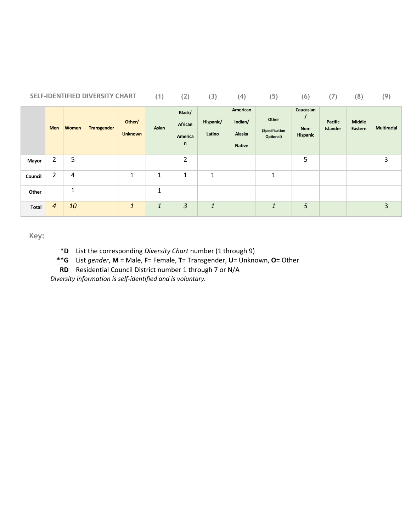| <b>SELF-IDENTIFIED DIVERSITY CHART</b> |                |       |                    |                          | (1)   | (2)                               | (3)                 | (4)                                            | (5)                                  | (6)                           | (7)                        | (8)                      | (9)                |
|----------------------------------------|----------------|-------|--------------------|--------------------------|-------|-----------------------------------|---------------------|------------------------------------------------|--------------------------------------|-------------------------------|----------------------------|--------------------------|--------------------|
|                                        | Men            | Women | <b>Transgender</b> | Other/<br><b>Unknown</b> | Asian | Black/<br>African<br>America<br>n | Hispanic/<br>Latino | American<br>Indian/<br>Alaska<br><b>Native</b> | Other<br>(Specification<br>Optional) | Caucasian<br>Non-<br>Hispanic | <b>Pacific</b><br>Islander | <b>Middle</b><br>Eastern | <b>Multiracial</b> |
| Mayor                                  | $\overline{2}$ | 5     |                    |                          |       | 2                                 |                     |                                                |                                      | 5                             |                            |                          | 3                  |
| Council                                | $\overline{2}$ | 4     |                    | 1                        | 1     | 1                                 | 1                   |                                                | 1                                    |                               |                            |                          |                    |
| Other                                  |                | 1     |                    |                          | 1     |                                   |                     |                                                |                                      |                               |                            |                          |                    |
| <b>Total</b>                           | $\overline{4}$ | 10    |                    | 1                        | 1     | $\overline{3}$                    | $\mathbf{1}$        |                                                | 1                                    | 5                             |                            |                          | 3                  |

**Key:**

- **\*D** List the corresponding *Diversity Chart* number (1 through 9)
- **\*\*G** List *gender*, **M** = Male, **F**= Female, **T**= Transgender, **U**= Unknown, **O=** Other
- **RD** Residential Council District number 1 through 7 or N/A

*Diversity information is self-identified and is voluntary.*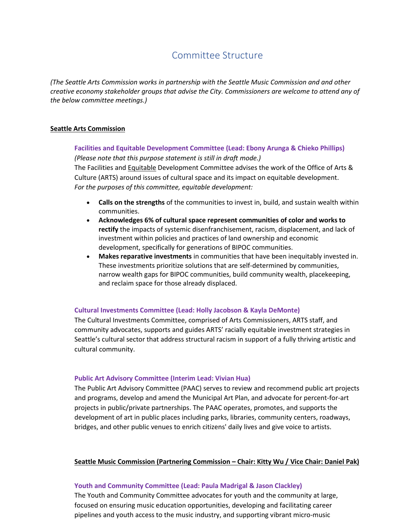# Committee Structure

*(The Seattle Arts Commission works in partnership with the Seattle Music Commission and and other creative economy stakeholder groups that advise the City. Commissioners are welcome to attend any of the below committee meetings.)*

### **Seattle Arts Commission**

**Facilities and Equitable Development Committee (Lead: Ebony Arunga & Chieko Phillips)** *(Please note that this purpose statement is still in draft mode.)*

The Facilities and Equitable Development Committee advises the work of the Office of Arts & Culture (ARTS) around issues of cultural space and its impact on equitable development. *For the purposes of this committee, equitable development:*

- **Calls on the strengths** of the communities to invest in, build, and sustain wealth within communities.
- **Acknowledges 6% of cultural space represent communities of color and works to rectify** the impacts of systemic disenfranchisement, racism, displacement, and lack of investment within policies and practices of land ownership and economic development, specifically for generations of BIPOC communities.
- **Makes reparative investments** in communities that have been inequitably invested in. These investments prioritize solutions that are self-determined by communities, narrow wealth gaps for BIPOC communities, build community wealth, placekeeping, and reclaim space for those already displaced.

### **Cultural Investments Committee (Lead: Holly Jacobson & Kayla DeMonte)**

The Cultural Investments Committee, comprised of Arts Commissioners, ARTS staff, and community advocates, supports and guides ARTS' racially equitable investment strategies in Seattle's cultural sector that address structural racism in support of a fully thriving artistic and cultural community.

### **Public Art Advisory Committee (Interim Lead: Vivian Hua)**

The Public Art Advisory Committee (PAAC) serves to review and recommend public art projects and programs, develop and amend the Municipal Art Plan, and advocate for percent-for-art projects in public/private partnerships. The PAAC operates, promotes, and supports the development of art in public places including parks, libraries, community centers, roadways, bridges, and other public venues to enrich citizens' daily lives and give voice to artists.

### **Seattle Music Commission (Partnering Commission – Chair: Kitty Wu / Vice Chair: Daniel Pak)**

### **Youth and Community Committee (Lead: Paula Madrigal & Jason Clackley)**

The Youth and Community Committee advocates for youth and the community at large, focused on ensuring music education opportunities, developing and facilitating career pipelines and youth access to the music industry, and supporting vibrant micro-music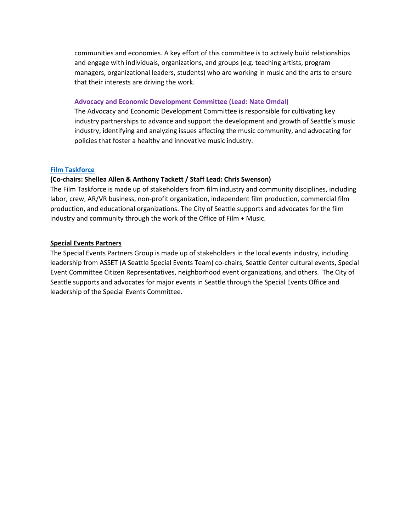communities and economies. A key effort of this committee is to actively build relationships and engage with individuals, organizations, and groups (e.g. teaching artists, program managers, organizational leaders, students) who are working in music and the arts to ensure that their interests are driving the work.

### **Advocacy and Economic Development Committee (Lead: Nate Omdal)**

The Advocacy and Economic Development Committee is responsible for cultivating key industry partnerships to advance and support the development and growth of Seattle's music industry, identifying and analyzing issues affecting the music community, and advocating for policies that foster a healthy and innovative music industry.

### **[Film Taskforce](https://www.seattle.gov/filmandmusic/film/film-task-force-members)**

### **(Co-chairs: Shellea Allen & Anthony Tackett / Staff Lead: Chris Swenson)**

The Film Taskforce is made up of stakeholders from film industry and community disciplines, including labor, crew, AR/VR business, non-profit organization, independent film production, commercial film production, and educational organizations. The City of Seattle supports and advocates for the film industry and community through the work of the Office of Film + Music.

### **Special Events Partners**

The Special Events Partners Group is made up of stakeholders in the local events industry, including leadership from ASSET (A Seattle Special Events Team) co-chairs, Seattle Center cultural events, Special Event Committee Citizen Representatives, neighborhood event organizations, and others. The City of Seattle supports and advocates for major events in Seattle through the Special Events Office and leadership of the Special Events Committee.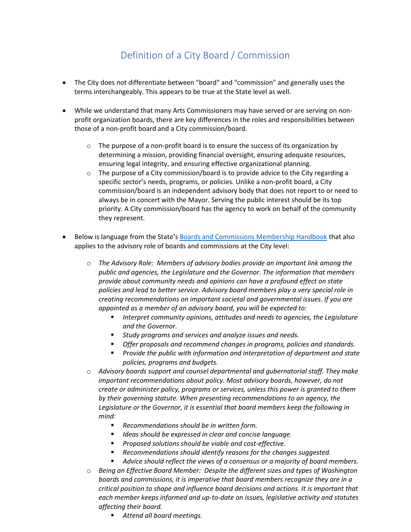# Definition of a City Board / Commission

- The City does not differentiate between "board" and "commission" and generally uses the terms interchangeably. This appears to be true at the State level as well.
- While we understand that many Arts Commissioners may have served or are serving on nonprofit organization boards, there are key differences in the roles and responsibilities between those of a non-profit board and a City commission/board.
	- $\circ$  The purpose of a non-profit board is to ensure the success of its organization by determining a mission, providing financial oversight, ensuring adequate resources, ensuring legal integrity, and ensuring effective organizational planning.
	- $\circ$  The purpose of a City commission/board is to provide advice to the City regarding a specific sector's needs, programs, or policies. Unlike a non-profit board, a City commission/board is an independent advisory body that does not report to or need to always be in concert with the Mayor. Serving the public interest should be its top priority. A City commission/board has the agency to work on behalf of the community they represent.
- Below is language from the State's [Boards and Commissions Membership Handbook](https://www.governor.wa.gov/boards-commissions) that also applies to the advisory role of boards and commissions at the City level:
	- o *The Advisory Role: Members of advisory bodies provide an important link among the public and agencies, the Legislature and the Governor. The information that members provide about community needs and opinions can have a profound effect on state policies and lead to better service. Advisory board members play a very special role in creating recommendations on important societal and governmental issues. If you are appointed as a member of an advisory board, you will be expected to:*
		- *Interpret community opinions, attitudes and needs to agencies, the Legislature and the Governor.*
		- *Study programs and services and analyze issues and needs.*
		- *Offer proposals and recommend changes in programs, policies and standards.*
		- *Provide the public with information and interpretation of department and state policies, programs and budgets.*
	- o *Advisory boards support and counsel departmental and gubernatorial staff. They make important recommendations about policy. Most advisory boards, however, do not create or administer policy, programs or services, unless this power is granted to them by their governing statute. When presenting recommendations to an agency, the*  Legislature or the Governor, it is essential that board members keep the following in *mind:*
		- *Recommendations should be in written form.*
		- *Ideas should be expressed in clear and concise language.*
		- *Proposed solutions should be viable and cost-effective.*
		- *Recommendations should identify reasons for the changes suggested.*
		- *Advice should reflect the views of a consensus or a majority of board members.*
	- o *Being an Effective Board Member: Despite the different sizes and types of Washington boards and commissions, it is imperative that board members recognize they are in a critical position to shape and influence board decisions and actions. It is important that each member keeps informed and up-to-date on issues, legislative activity and statutes affecting their board.* 
		- *Attend all board meetings.*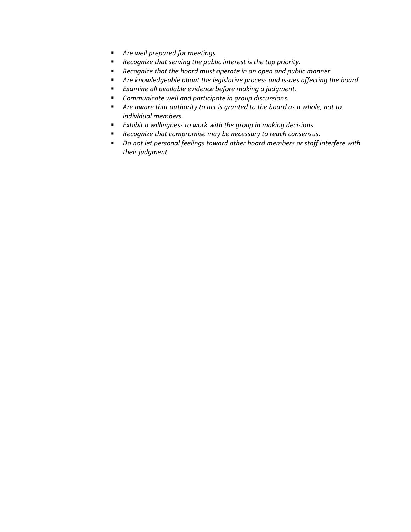- *Are well prepared for meetings.*
- *Recognize that serving the public interest is the top priority.*
- *Recognize that the board must operate in an open and public manner.*
- *Are knowledgeable about the legislative process and issues affecting the board.*
- *Examine all available evidence before making a judgment.*
- *Communicate well and participate in group discussions.*
- *Are aware that authority to act is granted to the board as a whole, not to individual members.*
- *Exhibit a willingness to work with the group in making decisions.*
- *Recognize that compromise may be necessary to reach consensus.*
- *Do not let personal feelings toward other board members or staff interfere with their judgment.*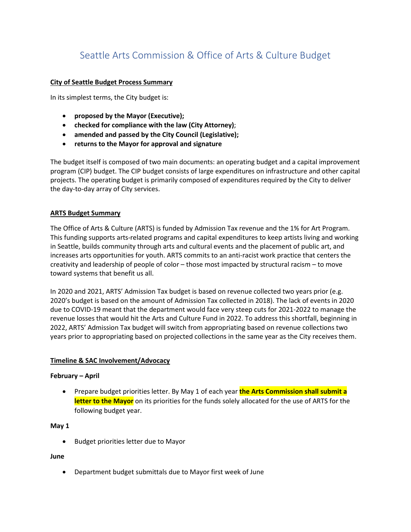# Seattle Arts Commission & Office of Arts & Culture Budget

## **City of Seattle Budget Process Summary**

In its simplest terms, the City budget is:

- **proposed by the Mayor (Executive);**
- **checked for compliance with the law (City Attorney)**;
- **amended and passed by the City Council (Legislative);**
- **returns to the Mayor for approval and signature**

The budget itself is composed of two main documents: an operating budget and a capital improvement program (CIP) budget. The CIP budget consists of large expenditures on infrastructure and other capital projects. The operating budget is primarily composed of expenditures required by the City to deliver the day-to-day array of City services.

## **ARTS Budget Summary**

The Office of Arts & Culture (ARTS) is funded by Admission Tax revenue and the 1% for Art Program. This funding supports arts-related programs and capital expenditures to keep artists living and working in Seattle, builds community through arts and cultural events and the placement of public art, and increases arts opportunities for youth. ARTS commits to an anti-racist work practice that centers the creativity and leadership of people of color – those most impacted by structural racism – to move toward systems that benefit us all.

In 2020 and 2021, ARTS' Admission Tax budget is based on revenue collected two years prior (e.g. 2020's budget is based on the amount of Admission Tax collected in 2018). The lack of events in 2020 due to COVID-19 meant that the department would face very steep cuts for 2021-2022 to manage the revenue losses that would hit the Arts and Culture Fund in 2022. To address this shortfall, beginning in 2022, ARTS' Admission Tax budget will switch from appropriating based on revenue collections two years prior to appropriating based on projected collections in the same year as the City receives them.

## **Timeline & SAC Involvement/Advocacy**

## **February – April**

• Prepare budget priorities letter. By May 1 of each year **the Arts Commission shall submit a letter to the Mayor** on its priorities for the funds solely allocated for the use of ARTS for the following budget year.

## **May 1**

• Budget priorities letter due to Mayor

## **June**

• Department budget submittals due to Mayor first week of June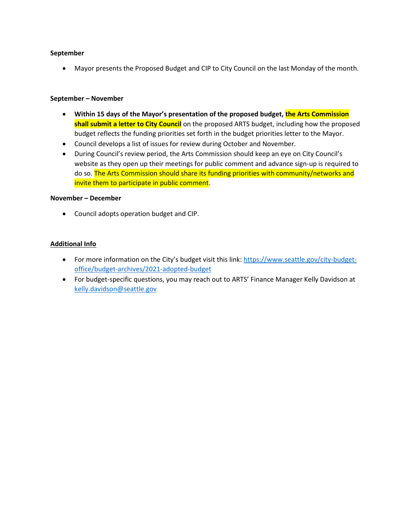### **September**

• Mayor presents the Proposed Budget and CIP to City Council on the last Monday of the month.

### **September – November**

- **Within 15 days of the Mayor's presentation of the proposed budget, the Arts Commission shall submit a letter to City Council** on the proposed ARTS budget, including how the proposed budget reflects the funding priorities set forth in the budget priorities letter to the Mayor.
- Council develops a list of issues for review during October and November.
- During Council's review period, the Arts Commission should keep an eye on City Council's website as they open up their meetings for public comment and advance sign-up is required to do so. The Arts Commission should share its funding priorities with community/networks and invite them to participate in public comment.

### **November – December**

• Council adopts operation budget and CIP.

## **Additional Info**

- For more information on the City's budget visit this link: [https://www.seattle.gov/city-budget](https://www.seattle.gov/city-budget-office/budget-archives/2021-adopted-budget)[office/budget-archives/2021-adopted-budget](https://www.seattle.gov/city-budget-office/budget-archives/2021-adopted-budget)
- For budget-specific questions, you may reach out to ARTS' Finance Manager Kelly Davidson at [kelly.davidson@seattle.gov](mailto:kelly.davidson@seattle.gov)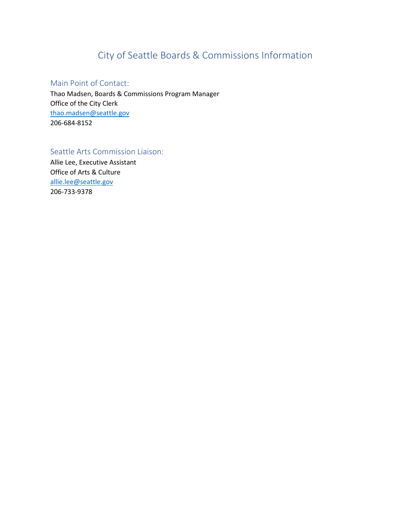# City of Seattle Boards & Commissions Information

Main Point of Contact:

Thao Madsen, Boards & Commissions Program Manager Office of the City Clerk [thao.madsen@seattle.gov](mailto:thao.madsen@seattle.gov) 206-684-8152

Seattle Arts Commission Liaison:

Allie Lee, Executive Assistant Office of Arts & Culture [allie.lee@seattle.gov](mailto:allie.lee@seattle.gov) 206-733-9378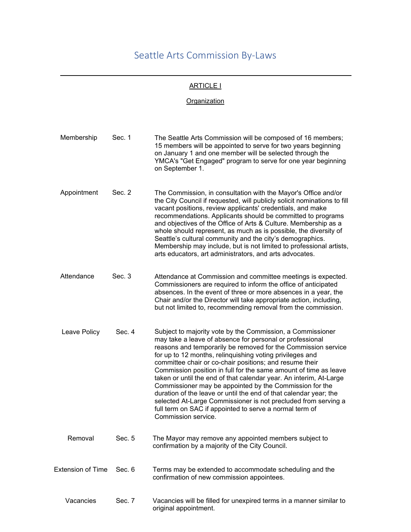# Seattle Arts Commission By-Laws

# ARTICLE I

# **Organization**

| Membership               | Sec. 1 | The Seattle Arts Commission will be composed of 16 members;<br>15 members will be appointed to serve for two years beginning<br>on January 1 and one member will be selected through the<br>YMCA's "Get Engaged" program to serve for one year beginning<br>on September 1.                                                                                                                                                                                                                                                                                                                                                                                                                                                                  |
|--------------------------|--------|----------------------------------------------------------------------------------------------------------------------------------------------------------------------------------------------------------------------------------------------------------------------------------------------------------------------------------------------------------------------------------------------------------------------------------------------------------------------------------------------------------------------------------------------------------------------------------------------------------------------------------------------------------------------------------------------------------------------------------------------|
| Appointment              | Sec. 2 | The Commission, in consultation with the Mayor's Office and/or<br>the City Council if requested, will publicly solicit nominations to fill<br>vacant positions, review applicants' credentials, and make<br>recommendations. Applicants should be committed to programs<br>and objectives of the Office of Arts & Culture. Membership as a<br>whole should represent, as much as is possible, the diversity of<br>Seattle's cultural community and the city's demographics.<br>Membership may include, but is not limited to professional artists,<br>arts educators, art administrators, and arts advocates.                                                                                                                                |
| Attendance               | Sec. 3 | Attendance at Commission and committee meetings is expected.<br>Commissioners are required to inform the office of anticipated<br>absences. In the event of three or more absences in a year, the<br>Chair and/or the Director will take appropriate action, including,<br>but not limited to, recommending removal from the commission.                                                                                                                                                                                                                                                                                                                                                                                                     |
| Leave Policy             | Sec. 4 | Subject to majority vote by the Commission, a Commissioner<br>may take a leave of absence for personal or professional<br>reasons and temporarily be removed for the Commission service<br>for up to 12 months, relinquishing voting privileges and<br>committee chair or co-chair positions; and resume their<br>Commission position in full for the same amount of time as leave<br>taken or until the end of that calendar year. An interim, At-Large<br>Commissioner may be appointed by the Commission for the<br>duration of the leave or until the end of that calendar year; the<br>selected At-Large Commissioner is not precluded from serving a<br>full term on SAC if appointed to serve a normal term of<br>Commission service. |
| Removal                  | Sec. 5 | The Mayor may remove any appointed members subject to<br>confirmation by a majority of the City Council.                                                                                                                                                                                                                                                                                                                                                                                                                                                                                                                                                                                                                                     |
| <b>Extension of Time</b> | Sec. 6 | Terms may be extended to accommodate scheduling and the<br>confirmation of new commission appointees.                                                                                                                                                                                                                                                                                                                                                                                                                                                                                                                                                                                                                                        |
| Vacancies                | Sec. 7 | Vacancies will be filled for unexpired terms in a manner similar to<br>original appointment.                                                                                                                                                                                                                                                                                                                                                                                                                                                                                                                                                                                                                                                 |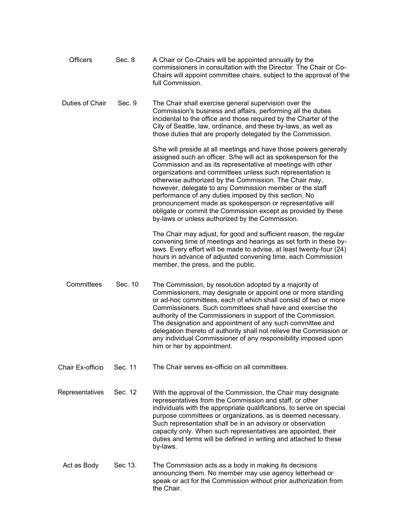| <b>Officers</b>  | Sec. 8  | A Chair or Co-Chairs will be appointed annually by the<br>commissioners in consultation with the Director. The Chair or Co-<br>Chairs will appoint committee chairs, subject to the approval of the<br>full Commission.                                                                                                                                                                                                                                                                                                                                                                                                          |
|------------------|---------|----------------------------------------------------------------------------------------------------------------------------------------------------------------------------------------------------------------------------------------------------------------------------------------------------------------------------------------------------------------------------------------------------------------------------------------------------------------------------------------------------------------------------------------------------------------------------------------------------------------------------------|
| Duties of Chair  | Sec. 9  | The Chair shall exercise general supervision over the<br>Commission's business and affairs, performing all the duties<br>incidental to the office and those required by the Charter of the<br>City of Seattle, law, ordinance, and these by-laws, as well as<br>those duties that are properly delegated by the Commission.                                                                                                                                                                                                                                                                                                      |
|                  |         | S/he will preside at all meetings and have those powers generally<br>assigned such an officer. S/he will act as spokesperson for the<br>Commission and as its representative at meetings with other<br>organizations and committees unless such representation is<br>otherwise authorized by the Commission. The Chair may,<br>however, delegate to any Commission member or the staff<br>performance of any duties imposed by this section. No<br>pronouncement made as spokesperson or representative will<br>obligate or commit the Commission except as provided by these<br>by-laws or unless authorized by the Commission. |
|                  |         | The Chair may adjust, for good and sufficient reason, the regular<br>convening time of meetings and hearings as set forth in these by-<br>laws. Every effort will be made to advise, at least twenty-four (24)<br>hours in advance of adjusted convening time, each Commission<br>member, the press, and the public.                                                                                                                                                                                                                                                                                                             |
| Committees       | Sec. 10 | The Commission, by resolution adopted by a majority of<br>Commissioners, may designate or appoint one or more standing<br>or ad-hoc committees, each of which shall consist of two or more<br>Commissioners. Such committees shall have and exercise the<br>authority of the Commissioners in support of the Commission.<br>The designation and appointment of any such committee and<br>delegation thereto of authority shall not relieve the Commission or<br>any individual Commissioner of any responsibility imposed upon<br>him or her by appointment.                                                                     |
| Chair Ex-officio | Sec. 11 | The Chair serves ex-officio on all committees.                                                                                                                                                                                                                                                                                                                                                                                                                                                                                                                                                                                   |
| Representatives  | Sec. 12 | With the approval of the Commission, the Chair may designate<br>representatives from the Commission and staff, or other<br>individuals with the appropriate qualifications, to serve on special<br>purpose committees or organizations, as is deemed necessary.<br>Such representation shall be in an advisory or observation<br>capacity only. When such representatives are appointed, their<br>duties and terms will be defined in writing and attached to these<br>by-laws.                                                                                                                                                  |
| Act as Body      | Sec 13. | The Commission acts as a body in making its decisions<br>announcing them. No member may use agency letterhead or<br>speak or act for the Commission without prior authorization from<br>the Chair.                                                                                                                                                                                                                                                                                                                                                                                                                               |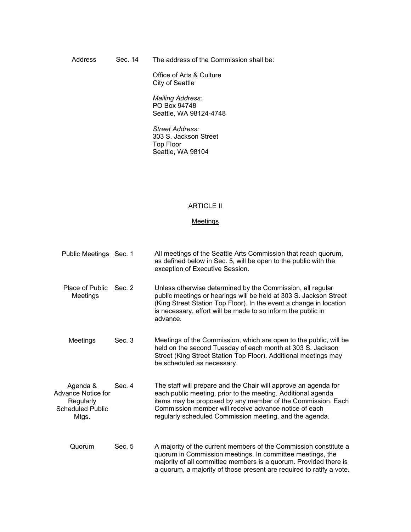Address Sec. 14 The address of the Commission shall be:

Office of Arts & Culture City of Seattle

*Mailing Address:* PO Box 94748 Seattle, WA 98124-4748

*Street Address:* 303 S. Jackson Street Top Floor Seattle, WA 98104

## **ARTICLE II**

### **Meetings**

| Public Meetings Sec. 1                                                          |        | All meetings of the Seattle Arts Commission that reach quorum,<br>as defined below in Sec. 5, will be open to the public with the<br>exception of Executive Session.                                                                                                                                               |
|---------------------------------------------------------------------------------|--------|--------------------------------------------------------------------------------------------------------------------------------------------------------------------------------------------------------------------------------------------------------------------------------------------------------------------|
| Place of Public<br>Meetings                                                     | Sec. 2 | Unless otherwise determined by the Commission, all regular<br>public meetings or hearings will be held at 303 S. Jackson Street<br>(King Street Station Top Floor). In the event a change in location<br>is necessary, effort will be made to so inform the public in<br>advance.                                  |
| Meetings                                                                        | Sec. 3 | Meetings of the Commission, which are open to the public, will be<br>held on the second Tuesday of each month at 303 S. Jackson<br>Street (King Street Station Top Floor). Additional meetings may<br>be scheduled as necessary.                                                                                   |
| Agenda &<br>Advance Notice for<br>Regularly<br><b>Scheduled Public</b><br>Mtgs. | Sec. 4 | The staff will prepare and the Chair will approve an agenda for<br>each public meeting, prior to the meeting. Additional agenda<br>items may be proposed by any member of the Commission. Each<br>Commission member will receive advance notice of each<br>regularly scheduled Commission meeting, and the agenda. |
| Quorum                                                                          | Sec. 5 | A majority of the current members of the Commission constitute a<br>quorum in Commission meetings. In committee meetings, the<br>majority of all committee members is a quorum. Provided there is<br>a quorum, a majority of those present are required to ratify a vote.                                          |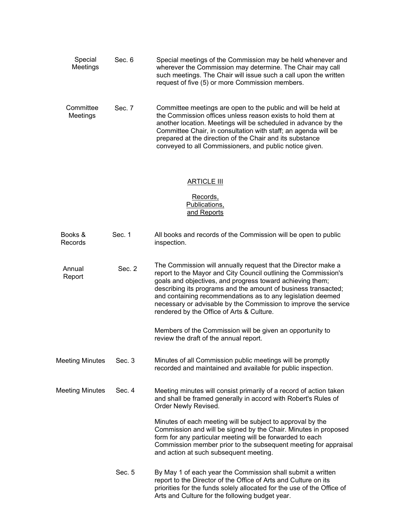| Special<br>Meetings   | Sec. 6 | Special meetings of the Commission may be held whenever and<br>wherever the Commission may determine. The Chair may call<br>such meetings. The Chair will issue such a call upon the written<br>request of five (5) or more Commission members.                                                                                                                                         |
|-----------------------|--------|-----------------------------------------------------------------------------------------------------------------------------------------------------------------------------------------------------------------------------------------------------------------------------------------------------------------------------------------------------------------------------------------|
| Committee<br>Meetings | Sec. 7 | Committee meetings are open to the public and will be held at<br>the Commission offices unless reason exists to hold them at<br>another location. Meetings will be scheduled in advance by the<br>Committee Chair, in consultation with staff; an agenda will be<br>prepared at the direction of the Chair and its substance<br>conveyed to all Commissioners, and public notice given. |

# **ARTICLE III**

### Records, Publications, <u>and Reports</u>

| Books &<br>Records     | Sec. 1 | All books and records of the Commission will be open to public<br>inspection.                                                                                                                                                                                                                                                                                                                                                                  |
|------------------------|--------|------------------------------------------------------------------------------------------------------------------------------------------------------------------------------------------------------------------------------------------------------------------------------------------------------------------------------------------------------------------------------------------------------------------------------------------------|
| Annual<br>Report       | Sec. 2 | The Commission will annually request that the Director make a<br>report to the Mayor and City Council outlining the Commission's<br>goals and objectives, and progress toward achieving them;<br>describing its programs and the amount of business transacted;<br>and containing recommendations as to any legislation deemed<br>necessary or advisable by the Commission to improve the service<br>rendered by the Office of Arts & Culture. |
|                        |        | Members of the Commission will be given an opportunity to<br>review the draft of the annual report.                                                                                                                                                                                                                                                                                                                                            |
| <b>Meeting Minutes</b> | Sec. 3 | Minutes of all Commission public meetings will be promptly<br>recorded and maintained and available for public inspection.                                                                                                                                                                                                                                                                                                                     |
| Meeting Minutes        | Sec. 4 | Meeting minutes will consist primarily of a record of action taken<br>and shall be framed generally in accord with Robert's Rules of<br>Order Newly Revised.                                                                                                                                                                                                                                                                                   |
|                        |        | Minutes of each meeting will be subject to approval by the<br>Commission and will be signed by the Chair. Minutes in proposed<br>form for any particular meeting will be forwarded to each<br>Commission member prior to the subsequent meeting for appraisal<br>and action at such subsequent meeting.                                                                                                                                        |
|                        | Sec. 5 | By May 1 of each year the Commission shall submit a written<br>report to the Director of the Office of Arts and Culture on its<br>priorities for the funds solely allocated for the use of the Office of<br>Arts and Culture for the following budget year.                                                                                                                                                                                    |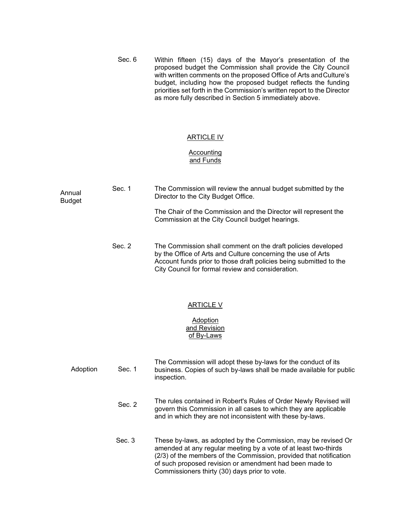Sec. 6 Within fifteen (15) days of the Mayor's presentation of the proposed budget the Commission shall provide the City Council with written comments on the proposed Office of Arts and Culture's budget, including how the proposed budget reflects the funding priorities set forth in the Commission's written report to the Director as more fully described in Section 5 immediately above.

### **ARTICLE IV**

### **Accounting** and Funds

| Annual<br>Budget | Sec. 1 | The Commission will review the annual budget submitted by the<br>Director to the City Budget Office.                                                                                                                                                    |
|------------------|--------|---------------------------------------------------------------------------------------------------------------------------------------------------------------------------------------------------------------------------------------------------------|
|                  |        | The Chair of the Commission and the Director will represent the<br>Commission at the City Council budget hearings.                                                                                                                                      |
|                  | Sec. 2 | The Commission shall comment on the draft policies developed<br>by the Office of Arts and Culture concerning the use of Arts<br>Account funds prior to those draft policies being submitted to the<br>City Council for formal review and consideration. |
|                  |        | <b>ARTICLE V</b><br><b>Adoption</b><br>and Revision<br>of By-Laws                                                                                                                                                                                       |
| Adoption         | Sec. 1 | The Commission will adopt these by-laws for the conduct of its<br>business. Copies of such by-laws shall be made available for public<br>inspection.                                                                                                    |

- Sec. 2 The rules contained in Robert's Rules of Order Newly Revised will govern this Commission in all cases to which they are applicable and in which they are not inconsistent with these by-laws.
- Sec. 3 These by-laws, as adopted by the Commission, may be revised Or amended at any regular meeting by a vote of at least two-thirds (2/3) of the members of the Commission, provided that notification of such proposed revision or amendment had been made to Commissioners thirty (30) days prior to vote.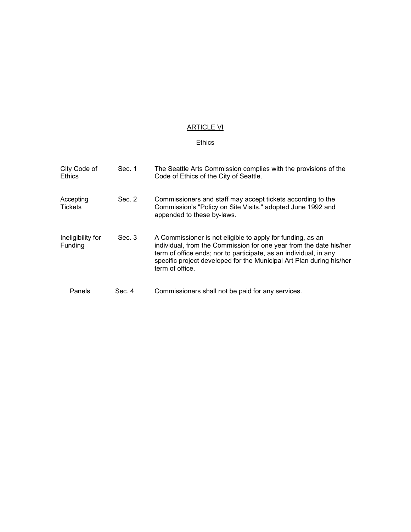# ARTICLE VI

# **Ethics**

| City Code of<br><b>Ethics</b> | Sec. 1 | The Seattle Arts Commission complies with the provisions of the<br>Code of Ethics of the City of Seattle.                                                                                                                                                                                        |
|-------------------------------|--------|--------------------------------------------------------------------------------------------------------------------------------------------------------------------------------------------------------------------------------------------------------------------------------------------------|
| Accepting<br>Tickets          | Sec. 2 | Commissioners and staff may accept tickets according to the<br>Commission's "Policy on Site Visits," adopted June 1992 and<br>appended to these by-laws.                                                                                                                                         |
| Ineligibility for<br>Funding  | Sec. 3 | A Commissioner is not eligible to apply for funding, as an<br>individual, from the Commission for one year from the date his/her<br>term of office ends; nor to participate, as an individual, in any<br>specific project developed for the Municipal Art Plan during his/her<br>term of office. |
| Panels                        | Sec. 4 | Commissioners shall not be paid for any services.                                                                                                                                                                                                                                                |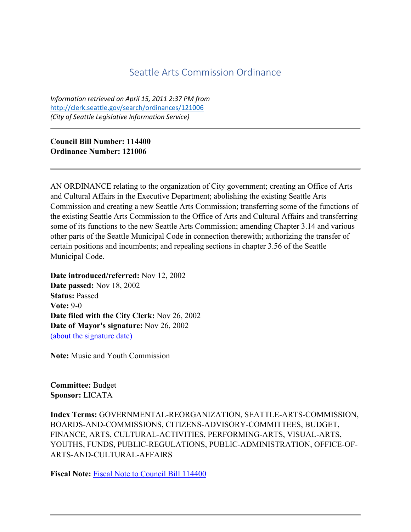# Seattle Arts Commission Ordinance

*Information retrieved on April 15, 2011 2:37 PM from*  <http://clerk.seattle.gov/search/ordinances/121006> *(City of Seattle Legislative Information Service)*

**Council Bill Number: 114400 Ordinance Number: 121006**

AN ORDINANCE relating to the organization of City government; creating an Office of Arts and Cultural Affairs in the Executive Department; abolishing the existing Seattle Arts Commission and creating a new Seattle Arts Commission; transferring some of the functions of the existing Seattle Arts Commission to the Office of Arts and Cultural Affairs and transferring some of its functions to the new Seattle Arts Commission; amending Chapter 3.14 and various other parts of the Seattle Municipal Code in connection therewith; authorizing the transfer of certain positions and incumbents; and repealing sections in chapter 3.56 of the Seattle Municipal Code.

**Date introduced/referred:** Nov 12, 2002 **Date passed:** Nov 18, 2002 **Status:** Passed **Vote:** 9-0 **Date filed with the City Clerk:** Nov 26, 2002 **Date of Mayor's signature:** Nov 26, 2002 [\(about the signature date\)](http://clerk.seattle.gov/%7Epublic/approvaldate.htm)

**Note:** Music and Youth Commission

**Committee:** Budget **Sponsor:** LICATA

**Index Terms:** GOVERNMENTAL-REORGANIZATION, SEATTLE-ARTS-COMMISSION, BOARDS-AND-COMMISSIONS, CITIZENS-ADVISORY-COMMITTEES, BUDGET, FINANCE, ARTS, CULTURAL-ACTIVITIES, PERFORMING-ARTS, VISUAL-ARTS, YOUTHS, FUNDS, PUBLIC-REGULATIONS, PUBLIC-ADMINISTRATION, OFFICE-OF-ARTS-AND-CULTURAL-AFFAIRS

**Fiscal Note:** [Fiscal Note to Council Bill 114400](http://clerk.seattle.gov/%7Epublic/fnote/114400.htm)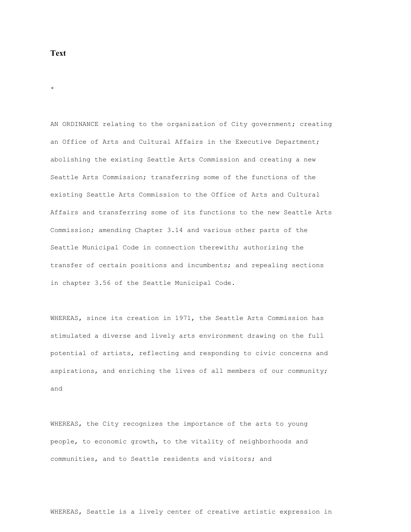**Text**

\*

AN ORDINANCE relating to the organization of City government; creating an Office of Arts and Cultural Affairs in the Executive Department; abolishing the existing Seattle Arts Commission and creating a new Seattle Arts Commission; transferring some of the functions of the existing Seattle Arts Commission to the Office of Arts and Cultural Affairs and transferring some of its functions to the new Seattle Arts Commission; amending Chapter 3.14 and various other parts of the Seattle Municipal Code in connection therewith; authorizing the transfer of certain positions and incumbents; and repealing sections in chapter 3.56 of the Seattle Municipal Code.

WHEREAS, since its creation in 1971, the Seattle Arts Commission has stimulated a diverse and lively arts environment drawing on the full potential of artists, reflecting and responding to civic concerns and aspirations, and enriching the lives of all members of our community; and

WHEREAS, the City recognizes the importance of the arts to young people, to economic growth, to the vitality of neighborhoods and communities, and to Seattle residents and visitors; and

WHEREAS, Seattle is a lively center of creative artistic expression in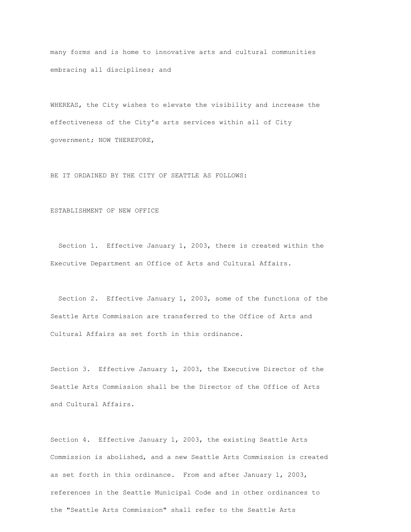many forms and is home to innovative arts and cultural communities embracing all disciplines; and

WHEREAS, the City wishes to elevate the visibility and increase the effectiveness of the City's arts services within all of City government; NOW THEREFORE,

BE IT ORDAINED BY THE CITY OF SEATTLE AS FOLLOWS:

### ESTABLISHMENT OF NEW OFFICE

Section 1. Effective January 1, 2003, there is created within the Executive Department an Office of Arts and Cultural Affairs.

 Section 2. Effective January 1, 2003, some of the functions of the Seattle Arts Commission are transferred to the Office of Arts and Cultural Affairs as set forth in this ordinance.

Section 3. Effective January 1, 2003, the Executive Director of the Seattle Arts Commission shall be the Director of the Office of Arts and Cultural Affairs.

Section 4. Effective January 1, 2003, the existing Seattle Arts Commission is abolished, and a new Seattle Arts Commission is created as set forth in this ordinance. From and after January 1, 2003, references in the Seattle Municipal Code and in other ordinances to the "Seattle Arts Commission" shall refer to the Seattle Arts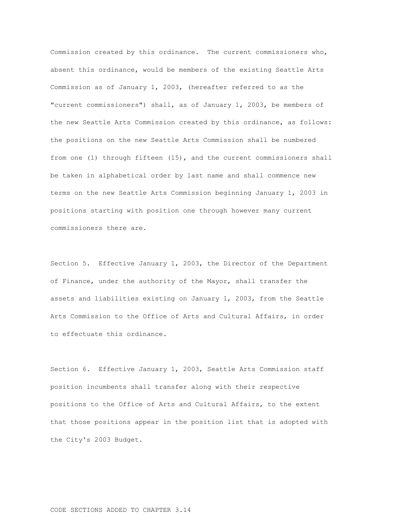Commission created by this ordinance. The current commissioners who, absent this ordinance, would be members of the existing Seattle Arts Commission as of January 1, 2003, (hereafter referred to as the "current commissioners") shall, as of January 1, 2003, be members of the new Seattle Arts Commission created by this ordinance, as follows: the positions on the new Seattle Arts Commission shall be numbered from one (1) through fifteen (15), and the current commissioners shall be taken in alphabetical order by last name and shall commence new terms on the new Seattle Arts Commission beginning January 1, 2003 in positions starting with position one through however many current commissioners there are.

Section 5. Effective January 1, 2003, the Director of the Department of Finance, under the authority of the Mayor, shall transfer the assets and liabilities existing on January 1, 2003, from the Seattle Arts Commission to the Office of Arts and Cultural Affairs, in order to effectuate this ordinance.

Section 6. Effective January 1, 2003, Seattle Arts Commission staff position incumbents shall transfer along with their respective positions to the Office of Arts and Cultural Affairs, to the extent that those positions appear in the position list that is adopted with the City's 2003 Budget.

### CODE SECTIONS ADDED TO CHAPTER 3.14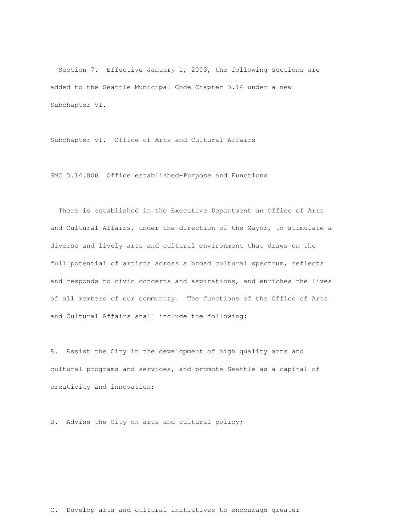Section 7. Effective January 1, 2003, the following sections are added to the Seattle Municipal Code Chapter 3.14 under a new Subchapter VI.

Subchapter VI. Office of Arts and Cultural Affairs

SMC 3.14.800 Office established-Purpose and Functions

 There is established in the Executive Department an Office of Arts and Cultural Affairs, under the direction of the Mayor, to stimulate a diverse and lively arts and cultural environment that draws on the full potential of artists across a broad cultural spectrum, reflects and responds to civic concerns and aspirations, and enriches the lives of all members of our community. The functions of the Office of Arts and Cultural Affairs shall include the following:

A. Assist the City in the development of high quality arts and cultural programs and services, and promote Seattle as a capital of creativity and innovation;

B. Advise the City on arts and cultural policy;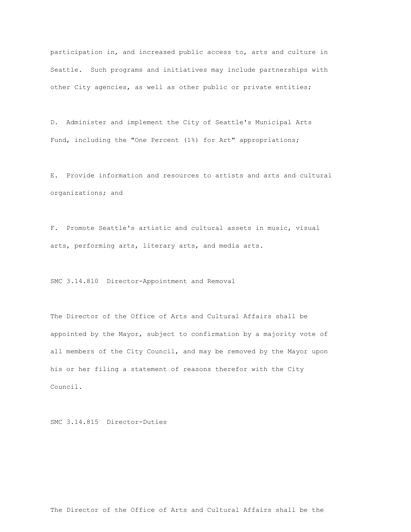participation in, and increased public access to, arts and culture in Seattle. Such programs and initiatives may include partnerships with other City agencies, as well as other public or private entities;

D. Administer and implement the City of Seattle's Municipal Arts Fund, including the "One Percent (1%) for Art" appropriations;

E. Provide information and resources to artists and arts and cultural organizations; and

F. Promote Seattle's artistic and cultural assets in music, visual arts, performing arts, literary arts, and media arts.

SMC 3.14.810 Director-Appointment and Removal

The Director of the Office of Arts and Cultural Affairs shall be appointed by the Mayor, subject to confirmation by a majority vote of all members of the City Council, and may be removed by the Mayor upon his or her filing a statement of reasons therefor with the City Council.

SMC 3.14.815 Director-Duties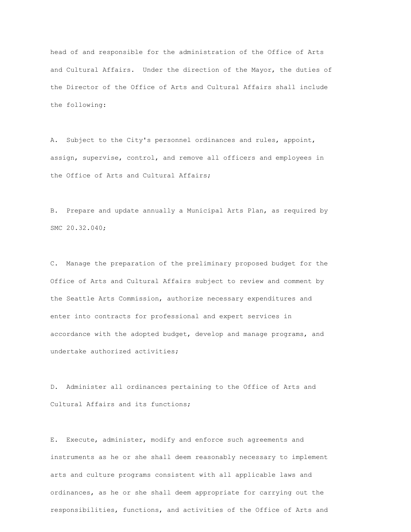head of and responsible for the administration of the Office of Arts and Cultural Affairs. Under the direction of the Mayor, the duties of the Director of the Office of Arts and Cultural Affairs shall include the following:

A. Subject to the City's personnel ordinances and rules, appoint, assign, supervise, control, and remove all officers and employees in the Office of Arts and Cultural Affairs;

B. Prepare and update annually a Municipal Arts Plan, as required by SMC 20.32.040;

C. Manage the preparation of the preliminary proposed budget for the Office of Arts and Cultural Affairs subject to review and comment by the Seattle Arts Commission, authorize necessary expenditures and enter into contracts for professional and expert services in accordance with the adopted budget, develop and manage programs, and undertake authorized activities;

D. Administer all ordinances pertaining to the Office of Arts and Cultural Affairs and its functions;

E. Execute, administer, modify and enforce such agreements and instruments as he or she shall deem reasonably necessary to implement arts and culture programs consistent with all applicable laws and ordinances, as he or she shall deem appropriate for carrying out the responsibilities, functions, and activities of the Office of Arts and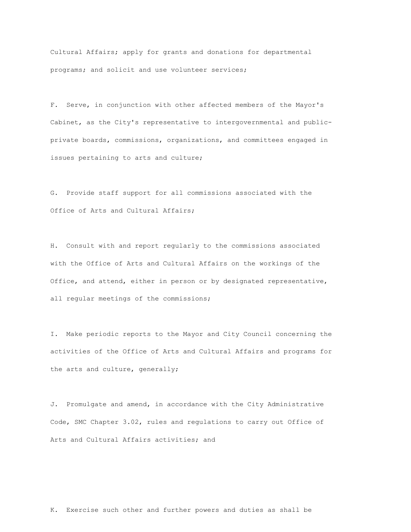Cultural Affairs; apply for grants and donations for departmental programs; and solicit and use volunteer services;

F. Serve, in conjunction with other affected members of the Mayor's Cabinet, as the City's representative to intergovernmental and publicprivate boards, commissions, organizations, and committees engaged in issues pertaining to arts and culture;

G. Provide staff support for all commissions associated with the Office of Arts and Cultural Affairs;

H. Consult with and report regularly to the commissions associated with the Office of Arts and Cultural Affairs on the workings of the Office, and attend, either in person or by designated representative, all regular meetings of the commissions;

I. Make periodic reports to the Mayor and City Council concerning the activities of the Office of Arts and Cultural Affairs and programs for the arts and culture, generally;

J. Promulgate and amend, in accordance with the City Administrative Code, SMC Chapter 3.02, rules and regulations to carry out Office of Arts and Cultural Affairs activities; and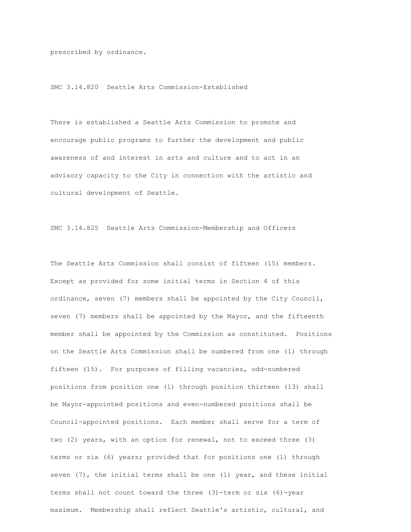prescribed by ordinance.

SMC 3.14.820 Seattle Arts Commission-Established

There is established a Seattle Arts Commission to promote and encourage public programs to further the development and public awareness of and interest in arts and culture and to act in an advisory capacity to the City in connection with the artistic and cultural development of Seattle.

SMC 3.14.825 Seattle Arts Commission-Membership and Officers

The Seattle Arts Commission shall consist of fifteen (15) members. Except as provided for some initial terms in Section 4 of this ordinance, seven (7) members shall be appointed by the City Council, seven (7) members shall be appointed by the Mayor, and the fifteenth member shall be appointed by the Commission as constituted. Positions on the Seattle Arts Commission shall be numbered from one (1) through fifteen (15). For purposes of filling vacancies, odd-numbered positions from position one (1) through position thirteen (13) shall be Mayor-appointed positions and even-numbered positions shall be Council-appointed positions. Each member shall serve for a term of two (2) years, with an option for renewal, not to exceed three (3) terms or six (6) years; provided that for positions one (1) through seven (7), the initial terms shall be one (1) year, and these initial terms shall not count toward the three (3)-term or six (6)-year maximum. Membership shall reflect Seattle's artistic, cultural, and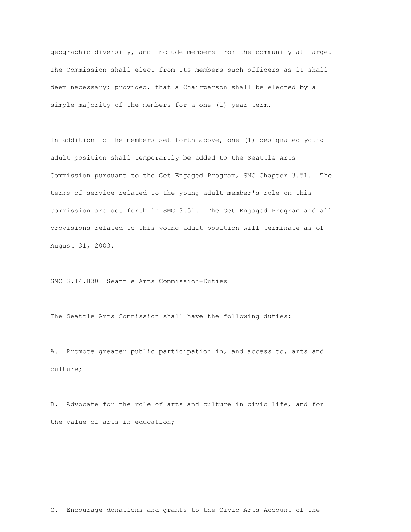geographic diversity, and include members from the community at large. The Commission shall elect from its members such officers as it shall deem necessary; provided, that a Chairperson shall be elected by a simple majority of the members for a one (1) year term.

In addition to the members set forth above, one (1) designated young adult position shall temporarily be added to the Seattle Arts Commission pursuant to the Get Engaged Program, SMC Chapter 3.51. The terms of service related to the young adult member's role on this Commission are set forth in SMC 3.51. The Get Engaged Program and all provisions related to this young adult position will terminate as of August 31, 2003.

SMC 3.14.830 Seattle Arts Commission-Duties

The Seattle Arts Commission shall have the following duties:

A. Promote greater public participation in, and access to, arts and culture;

B. Advocate for the role of arts and culture in civic life, and for the value of arts in education;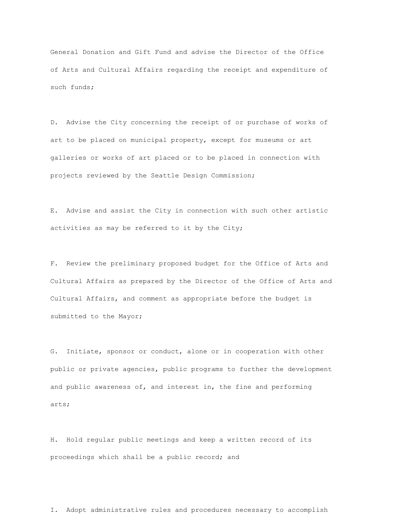General Donation and Gift Fund and advise the Director of the Office of Arts and Cultural Affairs regarding the receipt and expenditure of such funds;

D. Advise the City concerning the receipt of or purchase of works of art to be placed on municipal property, except for museums or art galleries or works of art placed or to be placed in connection with projects reviewed by the Seattle Design Commission;

E. Advise and assist the City in connection with such other artistic activities as may be referred to it by the City;

F. Review the preliminary proposed budget for the Office of Arts and Cultural Affairs as prepared by the Director of the Office of Arts and Cultural Affairs, and comment as appropriate before the budget is submitted to the Mayor;

G. Initiate, sponsor or conduct, alone or in cooperation with other public or private agencies, public programs to further the development and public awareness of, and interest in, the fine and performing arts;

H. Hold regular public meetings and keep a written record of its proceedings which shall be a public record; and

I. Adopt administrative rules and procedures necessary to accomplish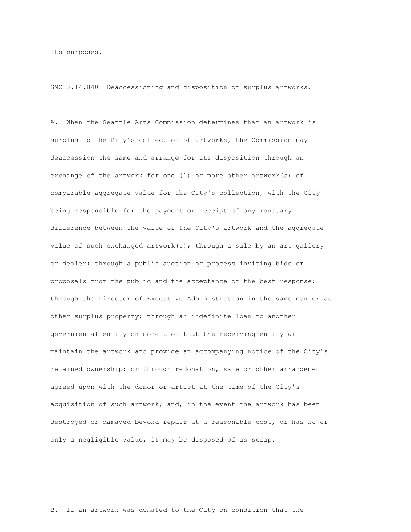its purposes.

SMC 3.14.840 Deaccessioning and disposition of surplus artworks.

A. When the Seattle Arts Commission determines that an artwork is surplus to the City's collection of artworks, the Commission may deaccession the same and arrange for its disposition through an exchange of the artwork for one (1) or more other artwork(s) of comparable aggregate value for the City's collection, with the City being responsible for the payment or receipt of any monetary difference between the value of the City's artwork and the aggregate value of such exchanged  $artwork(s)$ ; through a sale by an art gallery or dealer; through a public auction or process inviting bids or proposals from the public and the acceptance of the best response; through the Director of Executive Administration in the same manner as other surplus property; through an indefinite loan to another governmental entity on condition that the receiving entity will maintain the artwork and provide an accompanying notice of the City's retained ownership; or through redonation, sale or other arrangement agreed upon with the donor or artist at the time of the City's acquisition of such artwork; and, in the event the artwork has been destroyed or damaged beyond repair at a reasonable cost, or has no or only a negligible value, it may be disposed of as scrap.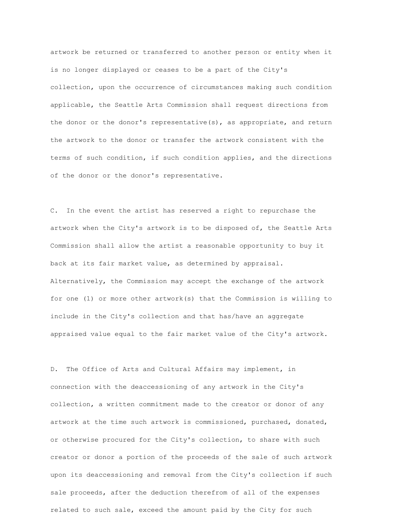artwork be returned or transferred to another person or entity when it is no longer displayed or ceases to be a part of the City's collection, upon the occurrence of circumstances making such condition applicable, the Seattle Arts Commission shall request directions from the donor or the donor's representative(s), as appropriate, and return the artwork to the donor or transfer the artwork consistent with the terms of such condition, if such condition applies, and the directions of the donor or the donor's representative.

C. In the event the artist has reserved a right to repurchase the artwork when the City's artwork is to be disposed of, the Seattle Arts Commission shall allow the artist a reasonable opportunity to buy it back at its fair market value, as determined by appraisal. Alternatively, the Commission may accept the exchange of the artwork for one (1) or more other artwork(s) that the Commission is willing to include in the City's collection and that has/have an aggregate appraised value equal to the fair market value of the City's artwork.

D. The Office of Arts and Cultural Affairs may implement, in connection with the deaccessioning of any artwork in the City's collection, a written commitment made to the creator or donor of any artwork at the time such artwork is commissioned, purchased, donated, or otherwise procured for the City's collection, to share with such creator or donor a portion of the proceeds of the sale of such artwork upon its deaccessioning and removal from the City's collection if such sale proceeds, after the deduction therefrom of all of the expenses related to such sale, exceed the amount paid by the City for such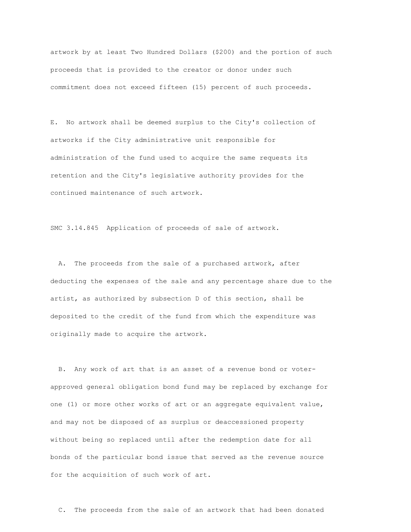artwork by at least Two Hundred Dollars (\$200) and the portion of such proceeds that is provided to the creator or donor under such commitment does not exceed fifteen (15) percent of such proceeds.

E. No artwork shall be deemed surplus to the City's collection of artworks if the City administrative unit responsible for administration of the fund used to acquire the same requests its retention and the City's legislative authority provides for the continued maintenance of such artwork.

SMC 3.14.845 Application of proceeds of sale of artwork.

 A. The proceeds from the sale of a purchased artwork, after deducting the expenses of the sale and any percentage share due to the artist, as authorized by subsection D of this section, shall be deposited to the credit of the fund from which the expenditure was originally made to acquire the artwork.

 B. Any work of art that is an asset of a revenue bond or voterapproved general obligation bond fund may be replaced by exchange for one (1) or more other works of art or an aggregate equivalent value, and may not be disposed of as surplus or deaccessioned property without being so replaced until after the redemption date for all bonds of the particular bond issue that served as the revenue source for the acquisition of such work of art.

C. The proceeds from the sale of an artwork that had been donated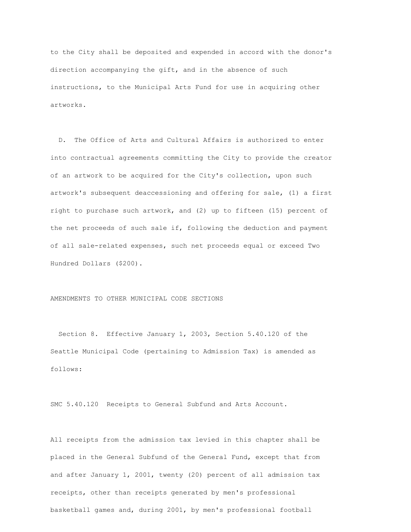to the City shall be deposited and expended in accord with the donor's direction accompanying the gift, and in the absence of such instructions, to the Municipal Arts Fund for use in acquiring other artworks.

 D. The Office of Arts and Cultural Affairs is authorized to enter into contractual agreements committing the City to provide the creator of an artwork to be acquired for the City's collection, upon such artwork's subsequent deaccessioning and offering for sale, (1) a first right to purchase such artwork, and (2) up to fifteen (15) percent of the net proceeds of such sale if, following the deduction and payment of all sale-related expenses, such net proceeds equal or exceed Two Hundred Dollars (\$200).

### AMENDMENTS TO OTHER MUNICIPAL CODE SECTIONS

 Section 8. Effective January 1, 2003, Section 5.40.120 of the Seattle Municipal Code (pertaining to Admission Tax) is amended as follows:

SMC 5.40.120 Receipts to General Subfund and Arts Account.

All receipts from the admission tax levied in this chapter shall be placed in the General Subfund of the General Fund, except that from and after January 1, 2001, twenty (20) percent of all admission tax receipts, other than receipts generated by men's professional basketball games and, during 2001, by men's professional football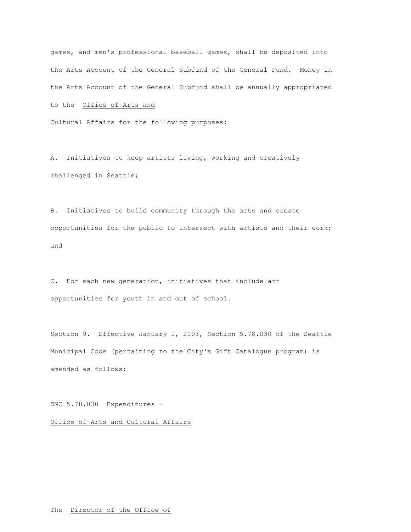games, and men's professional baseball games, shall be deposited into the Arts Account of the General Subfund of the General Fund. Money in the Arts Account of the General Subfund shall be annually appropriated to the Office of Arts and

Cultural Affairs for the following purposes:

A. Initiatives to keep artists living, working and creatively challenged in Seattle;

B. Initiatives to build community through the arts and create opportunities for the public to intersect with artists and their work; and

C. For each new generation, initiatives that include art opportunities for youth in and out of school.

Section 9. Effective January 1, 2003, Section 5.78.030 of the Seattle Municipal Code (pertaining to the City's Gift Catalogue program) is amended as follows:

SMC 5.78.030 Expenditures -Office of Arts and Cultural Affairs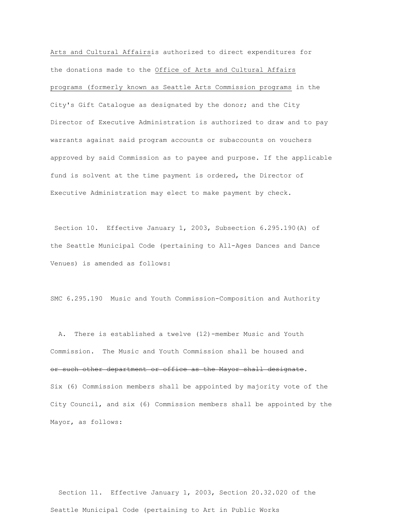Arts and Cultural Affairsis authorized to direct expenditures for the donations made to the Office of Arts and Cultural Affairs programs (formerly known as Seattle Arts Commission programs in the City's Gift Catalogue as designated by the donor; and the City Director of Executive Administration is authorized to draw and to pay warrants against said program accounts or subaccounts on vouchers approved by said Commission as to payee and purpose. If the applicable fund is solvent at the time payment is ordered, the Director of Executive Administration may elect to make payment by check.

Section 10. Effective January 1, 2003, Subsection 6.295.190(A) of the Seattle Municipal Code (pertaining to All-Ages Dances and Dance Venues) is amended as follows:

SMC 6.295.190 Music and Youth Commission-Composition and Authority

 A. There is established a twelve (12)-member Music and Youth Commission. The Music and Youth Commission shall be housed and or such other department or office as the Mayor shall designate. Six (6) Commission members shall be appointed by majority vote of the City Council, and six (6) Commission members shall be appointed by the Mayor, as follows:

 Section 11. Effective January 1, 2003, Section 20.32.020 of the Seattle Municipal Code (pertaining to Art in Public Works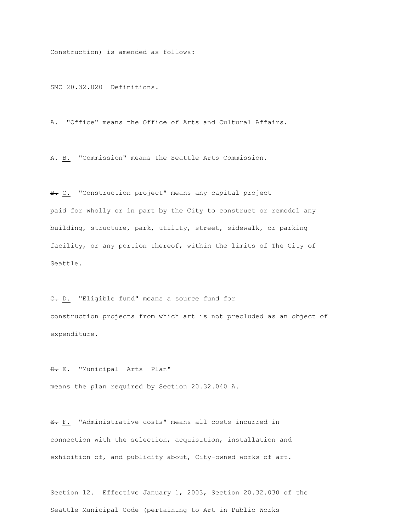Construction) is amended as follows:

SMC 20.32.020 Definitions.

#### A. "Office" means the Office of Arts and Cultural Affairs.

A. B. "Commission" means the Seattle Arts Commission.

B. C. "Construction project" means any capital project paid for wholly or in part by the City to construct or remodel any building, structure, park, utility, street, sidewalk, or parking facility, or any portion thereof, within the limits of The City of Seattle.

C. D. "Eligible fund" means a source fund for construction projects from which art is not precluded as an object of expenditure.

### D. E. "Municipal Arts Plan"

means the plan required by Section 20.32.040 A.

E. F. "Administrative costs" means all costs incurred in connection with the selection, acquisition, installation and exhibition of, and publicity about, City-owned works of art.

Section 12. Effective January 1, 2003, Section 20.32.030 of the Seattle Municipal Code (pertaining to Art in Public Works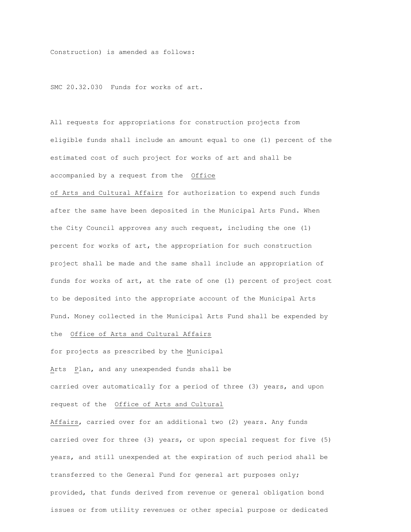Construction) is amended as follows:

SMC 20.32.030 Funds for works of art.

All requests for appropriations for construction projects from eligible funds shall include an amount equal to one (1) percent of the estimated cost of such project for works of art and shall be accompanied by a request from the Office

of Arts and Cultural Affairs for authorization to expend such funds after the same have been deposited in the Municipal Arts Fund. When the City Council approves any such request, including the one (1) percent for works of art, the appropriation for such construction project shall be made and the same shall include an appropriation of funds for works of art, at the rate of one (1) percent of project cost to be deposited into the appropriate account of the Municipal Arts Fund. Money collected in the Municipal Arts Fund shall be expended by

the Office of Arts and Cultural Affairs

for projects as prescribed by the Municipal

Arts Plan, and any unexpended funds shall be carried over automatically for a period of three (3) years, and upon request of the Office of Arts and Cultural

Affairs, carried over for an additional two (2) years. Any funds carried over for three (3) years, or upon special request for five (5) years, and still unexpended at the expiration of such period shall be transferred to the General Fund for general art purposes only; provided, that funds derived from revenue or general obligation bond issues or from utility revenues or other special purpose or dedicated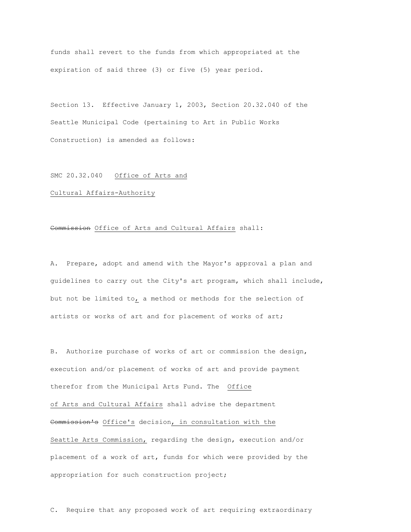funds shall revert to the funds from which appropriated at the expiration of said three (3) or five (5) year period.

Section 13. Effective January 1, 2003, Section 20.32.040 of the Seattle Municipal Code (pertaining to Art in Public Works Construction) is amended as follows:

#### SMC 20.32.040 Office of Arts and

#### Cultural Affairs-Authority

### Commission Office of Arts and Cultural Affairs shall:

A. Prepare, adopt and amend with the Mayor's approval a plan and guidelines to carry out the City's art program, which shall include, but not be limited to, a method or methods for the selection of artists or works of art and for placement of works of art;

B. Authorize purchase of works of art or commission the design, execution and/or placement of works of art and provide payment therefor from the Municipal Arts Fund. The Office of Arts and Cultural Affairs shall advise the department Commission's Office's decision, in consultation with the Seattle Arts Commission, regarding the design, execution and/or placement of a work of art, funds for which were provided by the appropriation for such construction project;

C. Require that any proposed work of art requiring extraordinary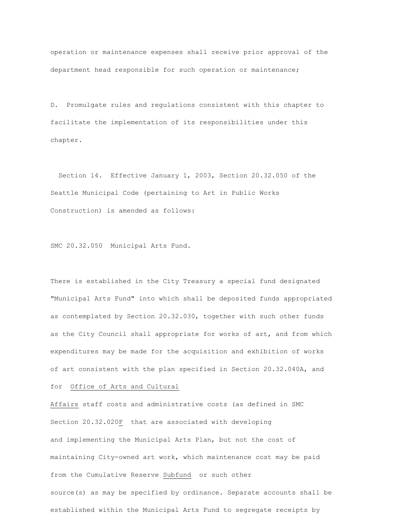operation or maintenance expenses shall receive prior approval of the department head responsible for such operation or maintenance;

D. Promulgate rules and regulations consistent with this chapter to facilitate the implementation of its responsibilities under this chapter.

 Section 14. Effective January 1, 2003, Section 20.32.050 of the Seattle Municipal Code (pertaining to Art in Public Works Construction) is amended as follows:

SMC 20.32.050 Municipal Arts Fund.

There is established in the City Treasury a special fund designated "Municipal Arts Fund" into which shall be deposited funds appropriated as contemplated by Section 20.32.030, together with such other funds as the City Council shall appropriate for works of art, and from which expenditures may be made for the acquisition and exhibition of works of art consistent with the plan specified in Section 20.32.040A, and

### for Office of Arts and Cultural

Affairs staff costs and administrative costs (as defined in SMC Section 20.32.020F that are associated with developing and implementing the Municipal Arts Plan, but not the cost of maintaining City-owned art work, which maintenance cost may be paid from the Cumulative Reserve Subfund or such other source(s) as may be specified by ordinance. Separate accounts shall be established within the Municipal Arts Fund to segregate receipts by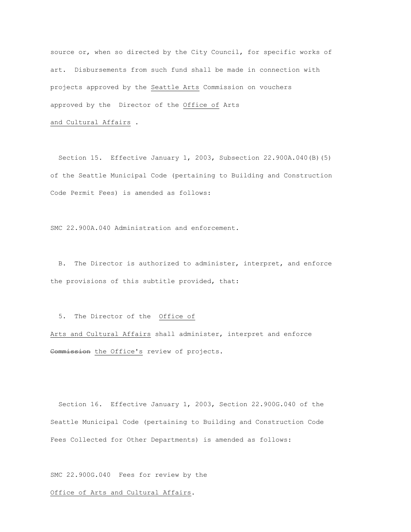source or, when so directed by the City Council, for specific works of art. Disbursements from such fund shall be made in connection with projects approved by the Seattle Arts Commission on vouchers approved by the Director of the Office of Arts and Cultural Affairs .

 Section 15. Effective January 1, 2003, Subsection 22.900A.040(B)(5) of the Seattle Municipal Code (pertaining to Building and Construction Code Permit Fees) is amended as follows:

SMC 22.900A.040 Administration and enforcement.

 B. The Director is authorized to administer, interpret, and enforce the provisions of this subtitle provided, that:

5. The Director of the Office of

Arts and Cultural Affairs shall administer, interpret and enforce Commission the Office's review of projects.

 Section 16. Effective January 1, 2003, Section 22.900G.040 of the Seattle Municipal Code (pertaining to Building and Construction Code Fees Collected for Other Departments) is amended as follows:

SMC 22.900G.040 Fees for review by the

Office of Arts and Cultural Affairs.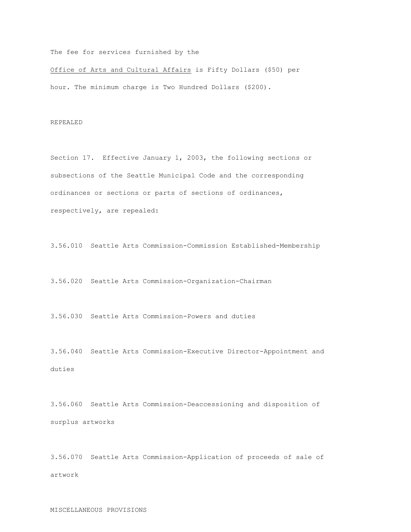### The fee for services furnished by the

Office of Arts and Cultural Affairs is Fifty Dollars (\$50) per hour. The minimum charge is Two Hundred Dollars (\$200).

#### REPEALED

Section 17. Effective January 1, 2003, the following sections or subsections of the Seattle Municipal Code and the corresponding ordinances or sections or parts of sections of ordinances, respectively, are repealed:

3.56.010 Seattle Arts Commission-Commission Established-Membership

3.56.020 Seattle Arts Commission-Organization-Chairman

3.56.030 Seattle Arts Commission-Powers and duties

3.56.040 Seattle Arts Commission-Executive Director-Appointment and duties

3.56.060 Seattle Arts Commission-Deaccessioning and disposition of surplus artworks

3.56.070 Seattle Arts Commission-Application of proceeds of sale of artwork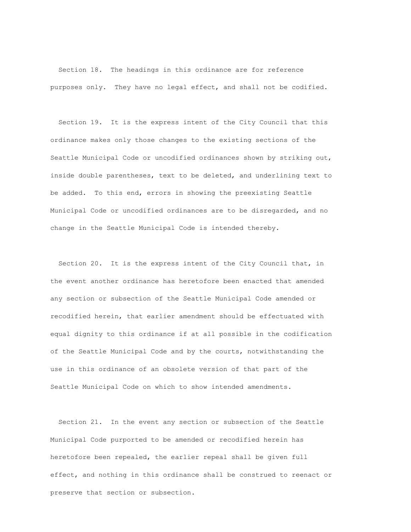Section 18. The headings in this ordinance are for reference purposes only. They have no legal effect, and shall not be codified.

 Section 19. It is the express intent of the City Council that this ordinance makes only those changes to the existing sections of the Seattle Municipal Code or uncodified ordinances shown by striking out, inside double parentheses, text to be deleted, and underlining text to be added. To this end, errors in showing the preexisting Seattle Municipal Code or uncodified ordinances are to be disregarded, and no change in the Seattle Municipal Code is intended thereby.

 Section 20. It is the express intent of the City Council that, in the event another ordinance has heretofore been enacted that amended any section or subsection of the Seattle Municipal Code amended or recodified herein, that earlier amendment should be effectuated with equal dignity to this ordinance if at all possible in the codification of the Seattle Municipal Code and by the courts, notwithstanding the use in this ordinance of an obsolete version of that part of the Seattle Municipal Code on which to show intended amendments.

 Section 21. In the event any section or subsection of the Seattle Municipal Code purported to be amended or recodified herein has heretofore been repealed, the earlier repeal shall be given full effect, and nothing in this ordinance shall be construed to reenact or preserve that section or subsection.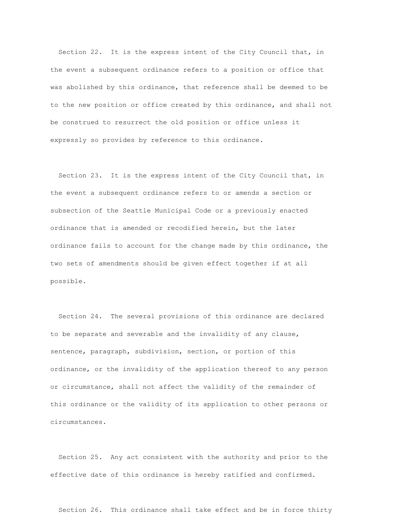Section 22. It is the express intent of the City Council that, in the event a subsequent ordinance refers to a position or office that was abolished by this ordinance, that reference shall be deemed to be to the new position or office created by this ordinance, and shall not be construed to resurrect the old position or office unless it expressly so provides by reference to this ordinance.

 Section 23. It is the express intent of the City Council that, in the event a subsequent ordinance refers to or amends a section or subsection of the Seattle Municipal Code or a previously enacted ordinance that is amended or recodified herein, but the later ordinance fails to account for the change made by this ordinance, the two sets of amendments should be given effect together if at all possible.

 Section 24. The several provisions of this ordinance are declared to be separate and severable and the invalidity of any clause, sentence, paragraph, subdivision, section, or portion of this ordinance, or the invalidity of the application thereof to any person or circumstance, shall not affect the validity of the remainder of this ordinance or the validity of its application to other persons or circumstances.

 Section 25. Any act consistent with the authority and prior to the effective date of this ordinance is hereby ratified and confirmed.

Section 26. This ordinance shall take effect and be in force thirty